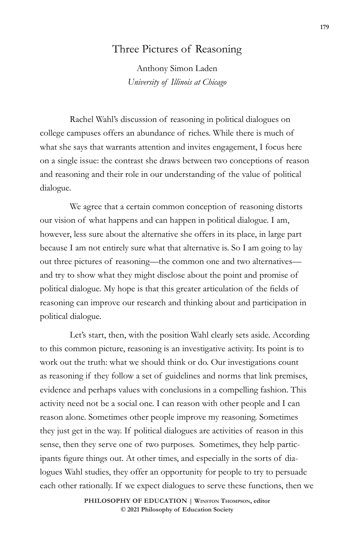## Three Pictures of Reasoning

Anthony Simon Laden *University of Illinois at Chicago*

Rachel Wahl's discussion of reasoning in political dialogues on college campuses offers an abundance of riches. While there is much of what she says that warrants attention and invites engagement, I focus here on a single issue: the contrast she draws between two conceptions of reason and reasoning and their role in our understanding of the value of political dialogue.

We agree that a certain common conception of reasoning distorts our vision of what happens and can happen in political dialogue. I am, however, less sure about the alternative she offers in its place, in large part because I am not entirely sure what that alternative is. So I am going to lay out three pictures of reasoning—the common one and two alternatives and try to show what they might disclose about the point and promise of political dialogue. My hope is that this greater articulation of the fields of reasoning can improve our research and thinking about and participation in political dialogue.

Let's start, then, with the position Wahl clearly sets aside. According to this common picture, reasoning is an investigative activity. Its point is to work out the truth: what we should think or do. Our investigations count as reasoning if they follow a set of guidelines and norms that link premises, evidence and perhaps values with conclusions in a compelling fashion. This activity need not be a social one. I can reason with other people and I can reason alone. Sometimes other people improve my reasoning. Sometimes they just get in the way. If political dialogues are activities of reason in this sense, then they serve one of two purposes. Sometimes, they help participants figure things out. At other times, and especially in the sorts of dialogues Wahl studies, they offer an opportunity for people to try to persuade each other rationally. If we expect dialogues to serve these functions, then we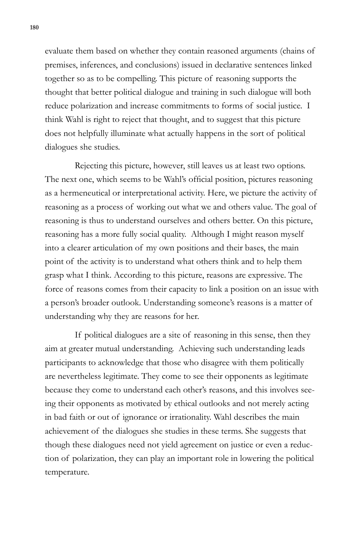evaluate them based on whether they contain reasoned arguments (chains of premises, inferences, and conclusions) issued in declarative sentences linked together so as to be compelling. This picture of reasoning supports the thought that better political dialogue and training in such dialogue will both reduce polarization and increase commitments to forms of social justice. I think Wahl is right to reject that thought, and to suggest that this picture does not helpfully illuminate what actually happens in the sort of political dialogues she studies.

Rejecting this picture, however, still leaves us at least two options. The next one, which seems to be Wahl's official position, pictures reasoning as a hermeneutical or interpretational activity. Here, we picture the activity of reasoning as a process of working out what we and others value. The goal of reasoning is thus to understand ourselves and others better. On this picture, reasoning has a more fully social quality. Although I might reason myself into a clearer articulation of my own positions and their bases, the main point of the activity is to understand what others think and to help them grasp what I think. According to this picture, reasons are expressive. The force of reasons comes from their capacity to link a position on an issue with a person's broader outlook. Understanding someone's reasons is a matter of understanding why they are reasons for her.

If political dialogues are a site of reasoning in this sense, then they aim at greater mutual understanding. Achieving such understanding leads participants to acknowledge that those who disagree with them politically are nevertheless legitimate. They come to see their opponents as legitimate because they come to understand each other's reasons, and this involves seeing their opponents as motivated by ethical outlooks and not merely acting in bad faith or out of ignorance or irrationality. Wahl describes the main achievement of the dialogues she studies in these terms. She suggests that though these dialogues need not yield agreement on justice or even a reduction of polarization, they can play an important role in lowering the political temperature.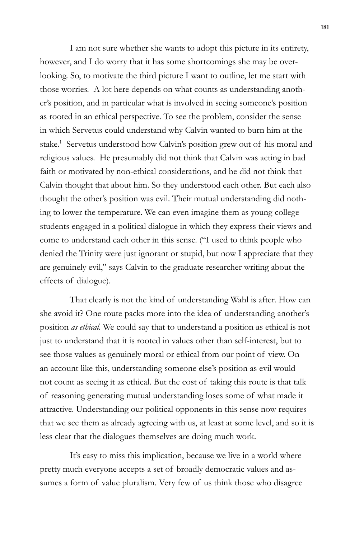I am not sure whether she wants to adopt this picture in its entirety, however, and I do worry that it has some shortcomings she may be overlooking. So, to motivate the third picture I want to outline, let me start with those worries. A lot here depends on what counts as understanding another's position, and in particular what is involved in seeing someone's position as rooted in an ethical perspective. To see the problem, consider the sense in which Servetus could understand why Calvin wanted to burn him at the stake.<sup>1</sup> Servetus understood how Calvin's position grew out of his moral and religious values. He presumably did not think that Calvin was acting in bad faith or motivated by non-ethical considerations, and he did not think that Calvin thought that about him. So they understood each other. But each also thought the other's position was evil. Their mutual understanding did nothing to lower the temperature. We can even imagine them as young college students engaged in a political dialogue in which they express their views and come to understand each other in this sense. ("I used to think people who denied the Trinity were just ignorant or stupid, but now I appreciate that they are genuinely evil," says Calvin to the graduate researcher writing about the effects of dialogue).

That clearly is not the kind of understanding Wahl is after. How can she avoid it? One route packs more into the idea of understanding another's position *as ethical*. We could say that to understand a position as ethical is not just to understand that it is rooted in values other than self-interest, but to see those values as genuinely moral or ethical from our point of view. On an account like this, understanding someone else's position as evil would not count as seeing it as ethical. But the cost of taking this route is that talk of reasoning generating mutual understanding loses some of what made it attractive. Understanding our political opponents in this sense now requires that we see them as already agreeing with us, at least at some level, and so it is less clear that the dialogues themselves are doing much work.

It's easy to miss this implication, because we live in a world where pretty much everyone accepts a set of broadly democratic values and assumes a form of value pluralism. Very few of us think those who disagree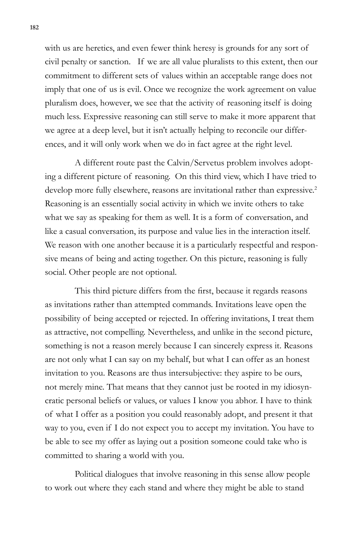with us are heretics, and even fewer think heresy is grounds for any sort of civil penalty or sanction. If we are all value pluralists to this extent, then our commitment to different sets of values within an acceptable range does not imply that one of us is evil. Once we recognize the work agreement on value pluralism does, however, we see that the activity of reasoning itself is doing much less. Expressive reasoning can still serve to make it more apparent that we agree at a deep level, but it isn't actually helping to reconcile our differences, and it will only work when we do in fact agree at the right level.

A different route past the Calvin/Servetus problem involves adopting a different picture of reasoning. On this third view, which I have tried to develop more fully elsewhere, reasons are invitational rather than expressive.<sup>2</sup> Reasoning is an essentially social activity in which we invite others to take what we say as speaking for them as well. It is a form of conversation, and like a casual conversation, its purpose and value lies in the interaction itself. We reason with one another because it is a particularly respectful and responsive means of being and acting together. On this picture, reasoning is fully social. Other people are not optional.

This third picture differs from the first, because it regards reasons as invitations rather than attempted commands. Invitations leave open the possibility of being accepted or rejected. In offering invitations, I treat them as attractive, not compelling. Nevertheless, and unlike in the second picture, something is not a reason merely because I can sincerely express it. Reasons are not only what I can say on my behalf, but what I can offer as an honest invitation to you. Reasons are thus intersubjective: they aspire to be ours, not merely mine. That means that they cannot just be rooted in my idiosyncratic personal beliefs or values, or values I know you abhor. I have to think of what I offer as a position you could reasonably adopt, and present it that way to you, even if I do not expect you to accept my invitation. You have to be able to see my offer as laying out a position someone could take who is committed to sharing a world with you.

Political dialogues that involve reasoning in this sense allow people to work out where they each stand and where they might be able to stand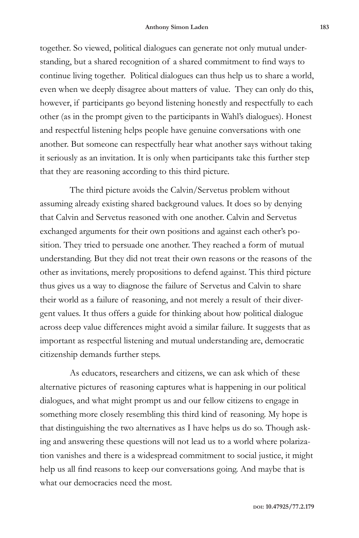together. So viewed, political dialogues can generate not only mutual understanding, but a shared recognition of a shared commitment to find ways to continue living together. Political dialogues can thus help us to share a world, even when we deeply disagree about matters of value. They can only do this, however, if participants go beyond listening honestly and respectfully to each other (as in the prompt given to the participants in Wahl's dialogues). Honest and respectful listening helps people have genuine conversations with one another. But someone can respectfully hear what another says without taking it seriously as an invitation. It is only when participants take this further step that they are reasoning according to this third picture.

The third picture avoids the Calvin/Servetus problem without assuming already existing shared background values. It does so by denying that Calvin and Servetus reasoned with one another. Calvin and Servetus exchanged arguments for their own positions and against each other's position. They tried to persuade one another. They reached a form of mutual understanding. But they did not treat their own reasons or the reasons of the other as invitations, merely propositions to defend against. This third picture thus gives us a way to diagnose the failure of Servetus and Calvin to share their world as a failure of reasoning, and not merely a result of their divergent values. It thus offers a guide for thinking about how political dialogue across deep value differences might avoid a similar failure. It suggests that as important as respectful listening and mutual understanding are, democratic citizenship demands further steps.

As educators, researchers and citizens, we can ask which of these alternative pictures of reasoning captures what is happening in our political dialogues, and what might prompt us and our fellow citizens to engage in something more closely resembling this third kind of reasoning. My hope is that distinguishing the two alternatives as I have helps us do so. Though asking and answering these questions will not lead us to a world where polarization vanishes and there is a widespread commitment to social justice, it might help us all find reasons to keep our conversations going. And maybe that is what our democracies need the most.